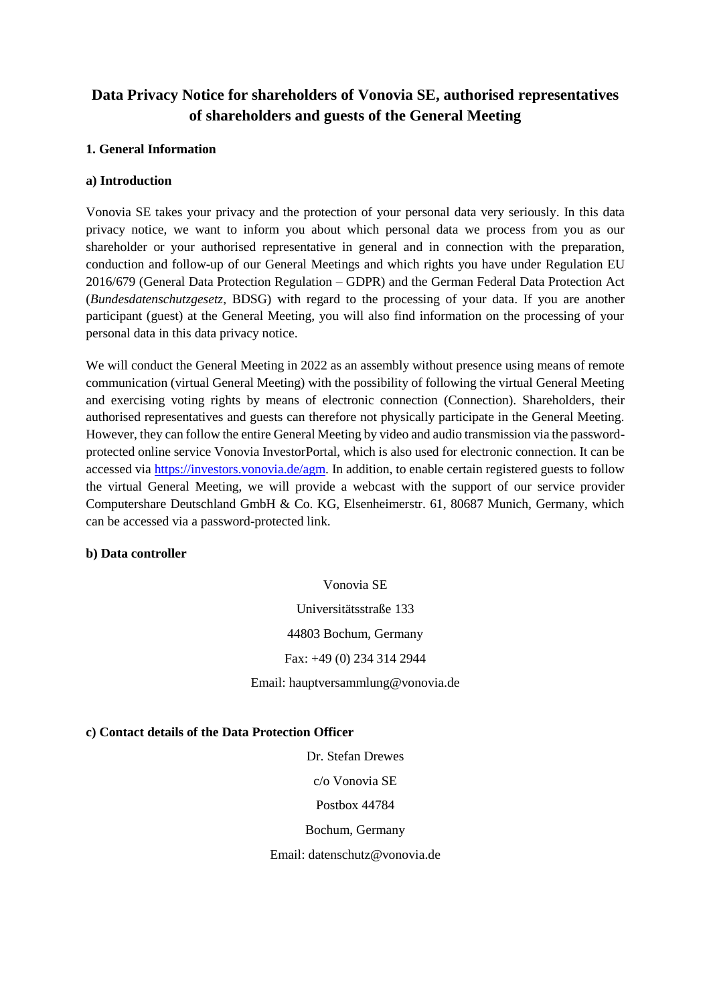# **Data Privacy Notice for shareholders of Vonovia SE, authorised representatives of shareholders and guests of the General Meeting**

# **1. General Information**

# **a) Introduction**

Vonovia SE takes your privacy and the protection of your personal data very seriously. In this data privacy notice, we want to inform you about which personal data we process from you as our shareholder or your authorised representative in general and in connection with the preparation, conduction and follow-up of our General Meetings and which rights you have under Regulation EU 2016/679 (General Data Protection Regulation – GDPR) and the German Federal Data Protection Act (*Bundesdatenschutzgesetz*, BDSG) with regard to the processing of your data. If you are another participant (guest) at the General Meeting, you will also find information on the processing of your personal data in this data privacy notice.

We will conduct the General Meeting in 2022 as an assembly without presence using means of remote communication (virtual General Meeting) with the possibility of following the virtual General Meeting and exercising voting rights by means of electronic connection (Connection). Shareholders, their authorised representatives and guests can therefore not physically participate in the General Meeting. However, they can follow the entire General Meeting by video and audio transmission via the passwordprotected online service Vonovia InvestorPortal, which is also used for electronic connection. It can be accessed via [https://investors.vonovia.de/agm.](https://investors.vonovia.de/agm) In addition, to enable certain registered guests to follow the virtual General Meeting, we will provide a webcast with the support of our service provider Computershare Deutschland GmbH & Co. KG, Elsenheimerstr. 61, 80687 Munich, Germany, which can be accessed via a password-protected link.

#### **b) Data controller**

Vonovia SE Universitätsstraße 133 44803 Bochum, Germany Fax: +49 (0) 234 314 2944 Email: hauptversammlung@vonovia.de

**c) Contact details of the Data Protection Officer**

Dr. Stefan Drewes c/o Vonovia SE Postbox 44784 Bochum, Germany Email: datenschutz@vonovia.de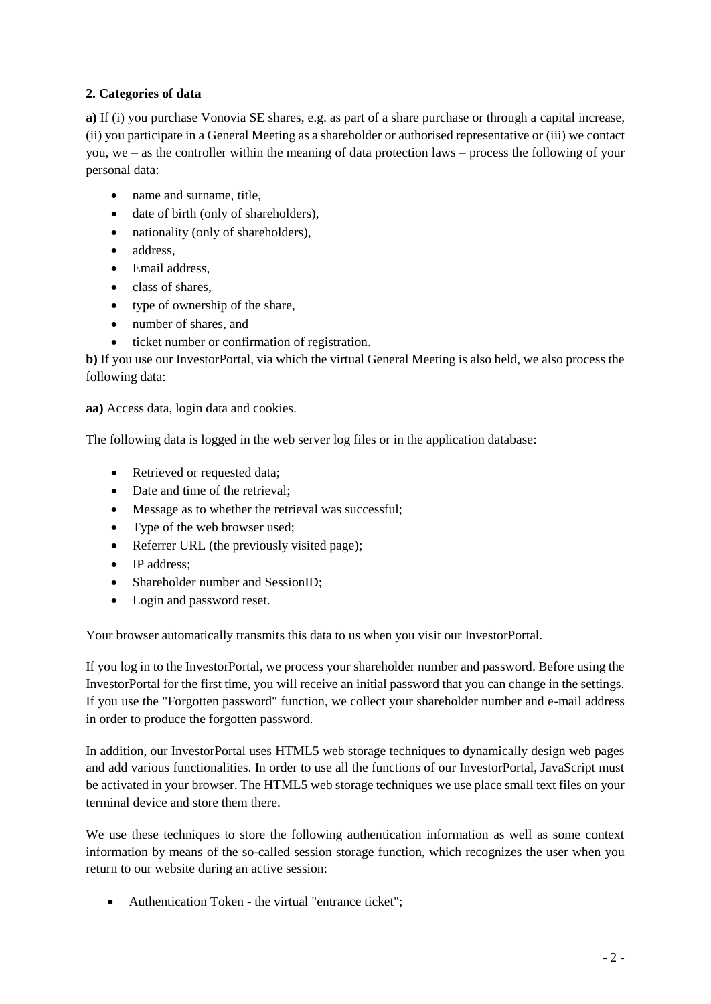# **2. Categories of data**

**a)** If (i) you purchase Vonovia SE shares, e.g. as part of a share purchase or through a capital increase, (ii) you participate in a General Meeting as a shareholder or authorised representative or (iii) we contact you, we – as the controller within the meaning of data protection laws – process the following of your personal data:

- name and surname, title,
- date of birth (only of shareholders),
- nationality (only of shareholders),
- address.
- Email address,
- class of shares,
- type of ownership of the share,
- number of shares, and
- ticket number or confirmation of registration.

**b)** If you use our InvestorPortal, via which the virtual General Meeting is also held, we also process the following data:

**aa)** Access data, login data and cookies.

The following data is logged in the web server log files or in the application database:

- Retrieved or requested data;
- Date and time of the retrieval:
- Message as to whether the retrieval was successful;
- Type of the web browser used;
- Referrer URL (the previously visited page);
- IP address:
- Shareholder number and SessionID;
- Login and password reset.

Your browser automatically transmits this data to us when you visit our InvestorPortal.

If you log in to the InvestorPortal, we process your shareholder number and password. Before using the InvestorPortal for the first time, you will receive an initial password that you can change in the settings. If you use the "Forgotten password" function, we collect your shareholder number and e-mail address in order to produce the forgotten password.

In addition, our InvestorPortal uses HTML5 web storage techniques to dynamically design web pages and add various functionalities. In order to use all the functions of our InvestorPortal, JavaScript must be activated in your browser. The HTML5 web storage techniques we use place small text files on your terminal device and store them there.

We use these techniques to store the following authentication information as well as some context information by means of the so-called session storage function, which recognizes the user when you return to our website during an active session:

• Authentication Token - the virtual "entrance ticket";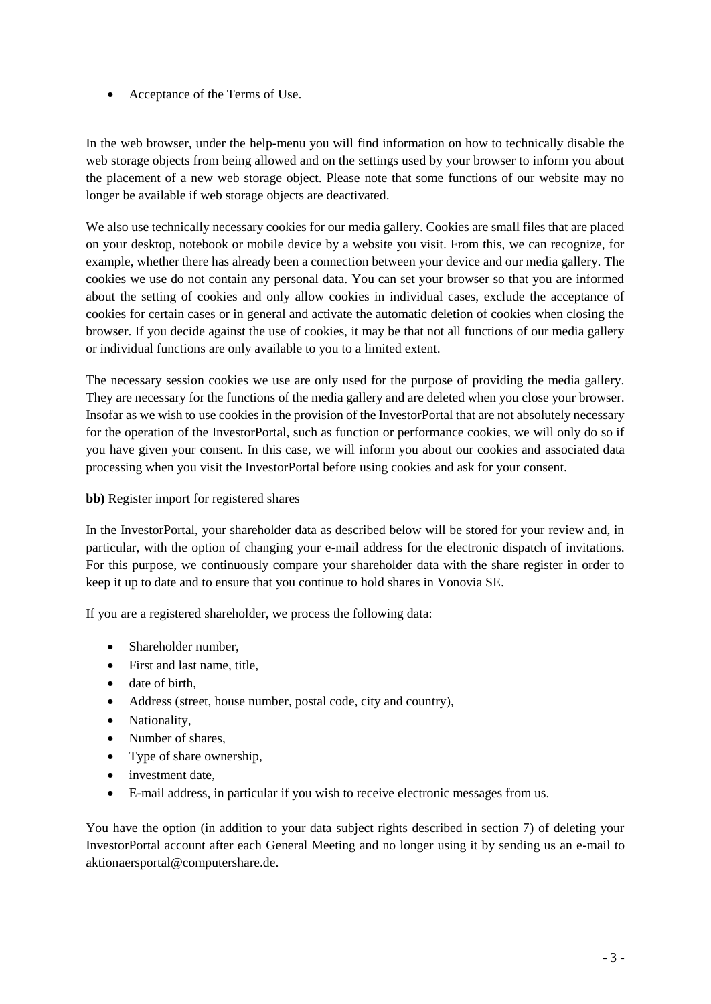Acceptance of the Terms of Use.

In the web browser, under the help-menu you will find information on how to technically disable the web storage objects from being allowed and on the settings used by your browser to inform you about the placement of a new web storage object. Please note that some functions of our website may no longer be available if web storage objects are deactivated.

We also use technically necessary cookies for our media gallery. Cookies are small files that are placed on your desktop, notebook or mobile device by a website you visit. From this, we can recognize, for example, whether there has already been a connection between your device and our media gallery. The cookies we use do not contain any personal data. You can set your browser so that you are informed about the setting of cookies and only allow cookies in individual cases, exclude the acceptance of cookies for certain cases or in general and activate the automatic deletion of cookies when closing the browser. If you decide against the use of cookies, it may be that not all functions of our media gallery or individual functions are only available to you to a limited extent.

The necessary session cookies we use are only used for the purpose of providing the media gallery. They are necessary for the functions of the media gallery and are deleted when you close your browser. Insofar as we wish to use cookies in the provision of the InvestorPortal that are not absolutely necessary for the operation of the InvestorPortal, such as function or performance cookies, we will only do so if you have given your consent. In this case, we will inform you about our cookies and associated data processing when you visit the InvestorPortal before using cookies and ask for your consent.

# **bb)** Register import for registered shares

In the InvestorPortal, your shareholder data as described below will be stored for your review and, in particular, with the option of changing your e-mail address for the electronic dispatch of invitations. For this purpose, we continuously compare your shareholder data with the share register in order to keep it up to date and to ensure that you continue to hold shares in Vonovia SE.

If you are a registered shareholder, we process the following data:

- Shareholder number,
- First and last name, title,
- date of birth,
- Address (street, house number, postal code, city and country),
- Nationality,
- Number of shares,
- Type of share ownership,
- investment date,
- E-mail address, in particular if you wish to receive electronic messages from us.

You have the option (in addition to your data subject rights described in section 7) of deleting your InvestorPortal account after each General Meeting and no longer using it by sending us an e-mail to aktionaersportal@computershare.de.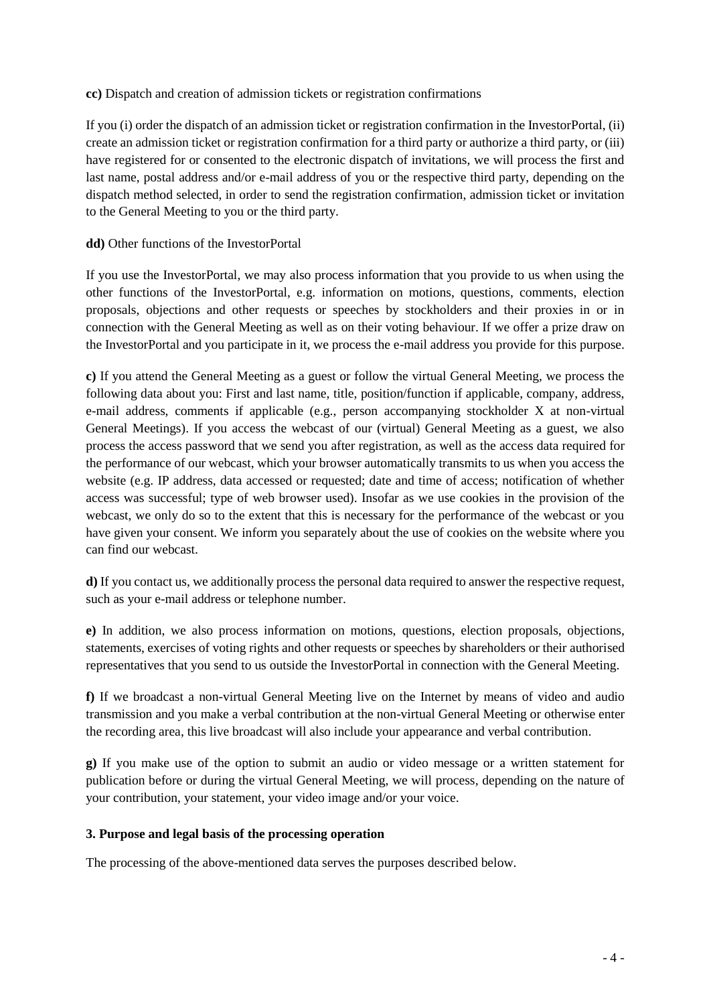#### **cc)** Dispatch and creation of admission tickets or registration confirmations

If you (i) order the dispatch of an admission ticket or registration confirmation in the InvestorPortal, (ii) create an admission ticket or registration confirmation for a third party or authorize a third party, or (iii) have registered for or consented to the electronic dispatch of invitations, we will process the first and last name, postal address and/or e-mail address of you or the respective third party, depending on the dispatch method selected, in order to send the registration confirmation, admission ticket or invitation to the General Meeting to you or the third party.

### **dd)** Other functions of the InvestorPortal

If you use the InvestorPortal, we may also process information that you provide to us when using the other functions of the InvestorPortal, e.g. information on motions, questions, comments, election proposals, objections and other requests or speeches by stockholders and their proxies in or in connection with the General Meeting as well as on their voting behaviour. If we offer a prize draw on the InvestorPortal and you participate in it, we process the e-mail address you provide for this purpose.

**c)** If you attend the General Meeting as a guest or follow the virtual General Meeting, we process the following data about you: First and last name, title, position/function if applicable, company, address, e-mail address, comments if applicable (e.g., person accompanying stockholder X at non-virtual General Meetings). If you access the webcast of our (virtual) General Meeting as a guest, we also process the access password that we send you after registration, as well as the access data required for the performance of our webcast, which your browser automatically transmits to us when you access the website (e.g. IP address, data accessed or requested; date and time of access; notification of whether access was successful; type of web browser used). Insofar as we use cookies in the provision of the webcast, we only do so to the extent that this is necessary for the performance of the webcast or you have given your consent. We inform you separately about the use of cookies on the website where you can find our webcast.

**d)** If you contact us, we additionally process the personal data required to answer the respective request, such as your e-mail address or telephone number.

**e)** In addition, we also process information on motions, questions, election proposals, objections, statements, exercises of voting rights and other requests or speeches by shareholders or their authorised representatives that you send to us outside the InvestorPortal in connection with the General Meeting.

**f)** If we broadcast a non-virtual General Meeting live on the Internet by means of video and audio transmission and you make a verbal contribution at the non-virtual General Meeting or otherwise enter the recording area, this live broadcast will also include your appearance and verbal contribution.

**g)** If you make use of the option to submit an audio or video message or a written statement for publication before or during the virtual General Meeting, we will process, depending on the nature of your contribution, your statement, your video image and/or your voice.

#### **3. Purpose and legal basis of the processing operation**

The processing of the above-mentioned data serves the purposes described below.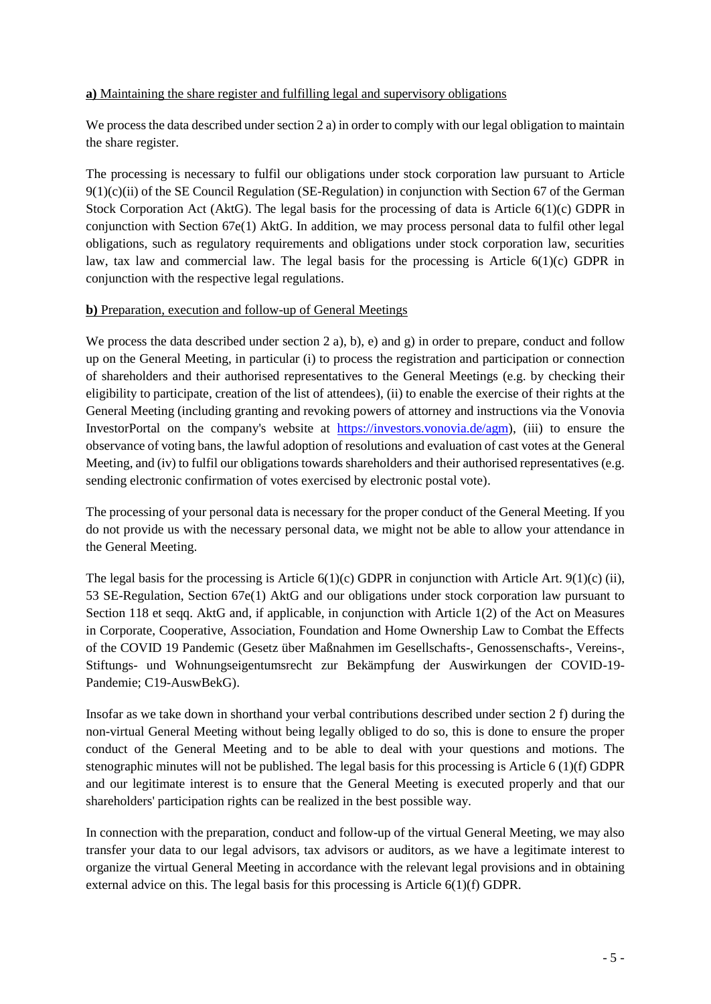### **a)** Maintaining the share register and fulfilling legal and supervisory obligations

We process the data described under section 2 a) in order to comply with our legal obligation to maintain the share register.

The processing is necessary to fulfil our obligations under stock corporation law pursuant to Article  $9(1)(c)(ii)$  of the SE Council Regulation (SE-Regulation) in conjunction with Section 67 of the German Stock Corporation Act (AktG). The legal basis for the processing of data is Article  $6(1)(c)$  GDPR in conjunction with Section 67e(1) AktG. In addition, we may process personal data to fulfil other legal obligations, such as regulatory requirements and obligations under stock corporation law, securities law, tax law and commercial law. The legal basis for the processing is Article  $6(1)(c)$  GDPR in conjunction with the respective legal regulations.

#### **b)** Preparation, execution and follow-up of General Meetings

We process the data described under section 2 a), b), e) and g) in order to prepare, conduct and follow up on the General Meeting, in particular (i) to process the registration and participation or connection of shareholders and their authorised representatives to the General Meetings (e.g. by checking their eligibility to participate, creation of the list of attendees), (ii) to enable the exercise of their rights at the General Meeting (including granting and revoking powers of attorney and instructions via the Vonovia InvestorPortal on the company's website at [https://investors.vonovia.de/agm\)](https://investors.vonovia.de/agm), (iii) to ensure the observance of voting bans, the lawful adoption of resolutions and evaluation of cast votes at the General Meeting, and (iv) to fulfil our obligations towards shareholders and their authorised representatives (e.g. sending electronic confirmation of votes exercised by electronic postal vote).

The processing of your personal data is necessary for the proper conduct of the General Meeting. If you do not provide us with the necessary personal data, we might not be able to allow your attendance in the General Meeting.

The legal basis for the processing is Article  $6(1)(c)$  GDPR in conjunction with Article Art.  $9(1)(c)$  (ii), 53 SE-Regulation, Section 67e(1) AktG and our obligations under stock corporation law pursuant to Section 118 et seqq. AktG and, if applicable, in conjunction with Article 1(2) of the Act on Measures in Corporate, Cooperative, Association, Foundation and Home Ownership Law to Combat the Effects of the COVID 19 Pandemic (Gesetz über Maßnahmen im Gesellschafts-, Genossenschafts-, Vereins-, Stiftungs- und Wohnungseigentumsrecht zur Bekämpfung der Auswirkungen der COVID-19- Pandemie; C19-AuswBekG).

Insofar as we take down in shorthand your verbal contributions described under section 2 f) during the non-virtual General Meeting without being legally obliged to do so, this is done to ensure the proper conduct of the General Meeting and to be able to deal with your questions and motions. The stenographic minutes will not be published. The legal basis for this processing is Article 6 (1)(f) GDPR and our legitimate interest is to ensure that the General Meeting is executed properly and that our shareholders' participation rights can be realized in the best possible way.

In connection with the preparation, conduct and follow-up of the virtual General Meeting, we may also transfer your data to our legal advisors, tax advisors or auditors, as we have a legitimate interest to organize the virtual General Meeting in accordance with the relevant legal provisions and in obtaining external advice on this. The legal basis for this processing is Article 6(1)(f) GDPR.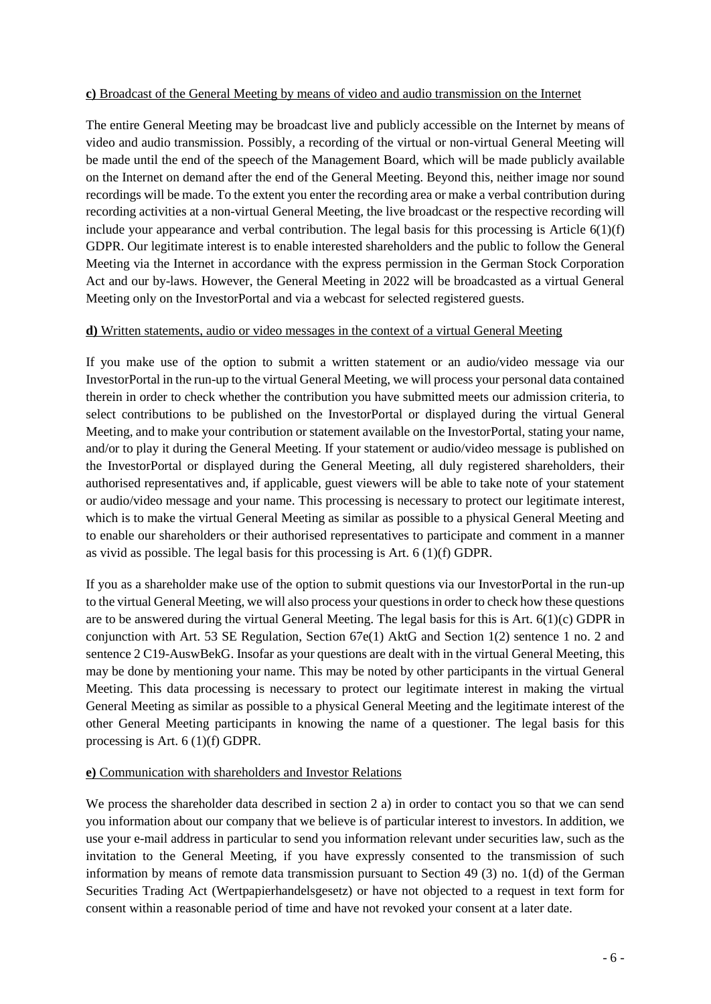#### **c)** Broadcast of the General Meeting by means of video and audio transmission on the Internet

The entire General Meeting may be broadcast live and publicly accessible on the Internet by means of video and audio transmission. Possibly, a recording of the virtual or non-virtual General Meeting will be made until the end of the speech of the Management Board, which will be made publicly available on the Internet on demand after the end of the General Meeting. Beyond this, neither image nor sound recordings will be made. To the extent you enter the recording area or make a verbal contribution during recording activities at a non-virtual General Meeting, the live broadcast or the respective recording will include your appearance and verbal contribution. The legal basis for this processing is Article  $6(1)(f)$ GDPR. Our legitimate interest is to enable interested shareholders and the public to follow the General Meeting via the Internet in accordance with the express permission in the German Stock Corporation Act and our by-laws. However, the General Meeting in 2022 will be broadcasted as a virtual General Meeting only on the InvestorPortal and via a webcast for selected registered guests.

# **d)** Written statements, audio or video messages in the context of a virtual General Meeting

If you make use of the option to submit a written statement or an audio/video message via our InvestorPortal in the run-up to the virtual General Meeting, we will process your personal data contained therein in order to check whether the contribution you have submitted meets our admission criteria, to select contributions to be published on the InvestorPortal or displayed during the virtual General Meeting, and to make your contribution or statement available on the InvestorPortal, stating your name, and/or to play it during the General Meeting. If your statement or audio/video message is published on the InvestorPortal or displayed during the General Meeting, all duly registered shareholders, their authorised representatives and, if applicable, guest viewers will be able to take note of your statement or audio/video message and your name. This processing is necessary to protect our legitimate interest, which is to make the virtual General Meeting as similar as possible to a physical General Meeting and to enable our shareholders or their authorised representatives to participate and comment in a manner as vivid as possible. The legal basis for this processing is Art. 6 (1)(f) GDPR.

If you as a shareholder make use of the option to submit questions via our InvestorPortal in the run-up to the virtual General Meeting, we will also process your questions in order to check how these questions are to be answered during the virtual General Meeting. The legal basis for this is Art. 6(1)(c) GDPR in conjunction with Art. 53 SE Regulation, Section 67e(1) AktG and Section 1(2) sentence 1 no. 2 and sentence 2 C19-AuswBekG. Insofar as your questions are dealt with in the virtual General Meeting, this may be done by mentioning your name. This may be noted by other participants in the virtual General Meeting. This data processing is necessary to protect our legitimate interest in making the virtual General Meeting as similar as possible to a physical General Meeting and the legitimate interest of the other General Meeting participants in knowing the name of a questioner. The legal basis for this processing is Art. 6 (1)(f) GDPR.

#### **e)** Communication with shareholders and Investor Relations

We process the shareholder data described in section 2 a) in order to contact you so that we can send you information about our company that we believe is of particular interest to investors. In addition, we use your e-mail address in particular to send you information relevant under securities law, such as the invitation to the General Meeting, if you have expressly consented to the transmission of such information by means of remote data transmission pursuant to Section 49 (3) no. 1(d) of the German Securities Trading Act (Wertpapierhandelsgesetz) or have not objected to a request in text form for consent within a reasonable period of time and have not revoked your consent at a later date.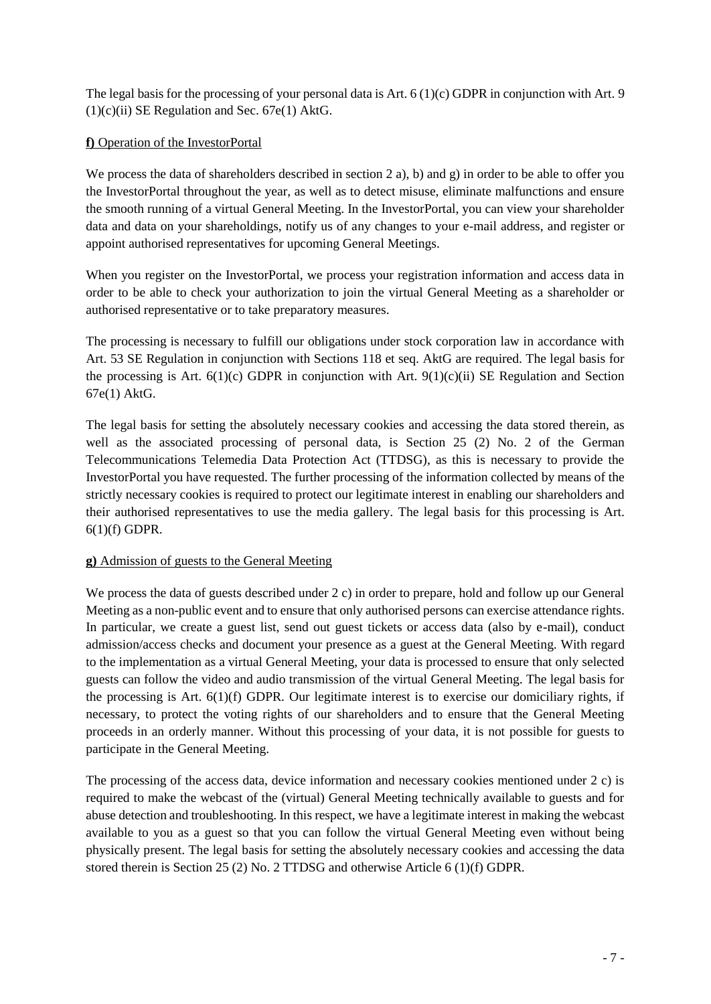The legal basis for the processing of your personal data is Art. 6 (1)(c) GDPR in conjunction with Art. 9  $(1)(c)(ii)$  SE Regulation and Sec. 67e $(1)$  AktG.

# **f)** Operation of the InvestorPortal

We process the data of shareholders described in section 2 a), b) and g) in order to be able to offer you the InvestorPortal throughout the year, as well as to detect misuse, eliminate malfunctions and ensure the smooth running of a virtual General Meeting. In the InvestorPortal, you can view your shareholder data and data on your shareholdings, notify us of any changes to your e-mail address, and register or appoint authorised representatives for upcoming General Meetings.

When you register on the InvestorPortal, we process your registration information and access data in order to be able to check your authorization to join the virtual General Meeting as a shareholder or authorised representative or to take preparatory measures.

The processing is necessary to fulfill our obligations under stock corporation law in accordance with Art. 53 SE Regulation in conjunction with Sections 118 et seq. AktG are required. The legal basis for the processing is Art.  $6(1)(c)$  GDPR in conjunction with Art.  $9(1)(c)(ii)$  SE Regulation and Section 67e(1) AktG.

The legal basis for setting the absolutely necessary cookies and accessing the data stored therein, as well as the associated processing of personal data, is Section 25 (2) No. 2 of the German Telecommunications Telemedia Data Protection Act (TTDSG), as this is necessary to provide the InvestorPortal you have requested. The further processing of the information collected by means of the strictly necessary cookies is required to protect our legitimate interest in enabling our shareholders and their authorised representatives to use the media gallery. The legal basis for this processing is Art. 6(1)(f) GDPR.

# **g)** Admission of guests to the General Meeting

We process the data of guests described under 2 c) in order to prepare, hold and follow up our General Meeting as a non-public event and to ensure that only authorised persons can exercise attendance rights. In particular, we create a guest list, send out guest tickets or access data (also by e-mail), conduct admission/access checks and document your presence as a guest at the General Meeting. With regard to the implementation as a virtual General Meeting, your data is processed to ensure that only selected guests can follow the video and audio transmission of the virtual General Meeting. The legal basis for the processing is Art. 6(1)(f) GDPR. Our legitimate interest is to exercise our domiciliary rights, if necessary, to protect the voting rights of our shareholders and to ensure that the General Meeting proceeds in an orderly manner. Without this processing of your data, it is not possible for guests to participate in the General Meeting.

The processing of the access data, device information and necessary cookies mentioned under 2 c) is required to make the webcast of the (virtual) General Meeting technically available to guests and for abuse detection and troubleshooting. In this respect, we have a legitimate interest in making the webcast available to you as a guest so that you can follow the virtual General Meeting even without being physically present. The legal basis for setting the absolutely necessary cookies and accessing the data stored therein is Section 25 (2) No. 2 TTDSG and otherwise Article 6 (1)(f) GDPR.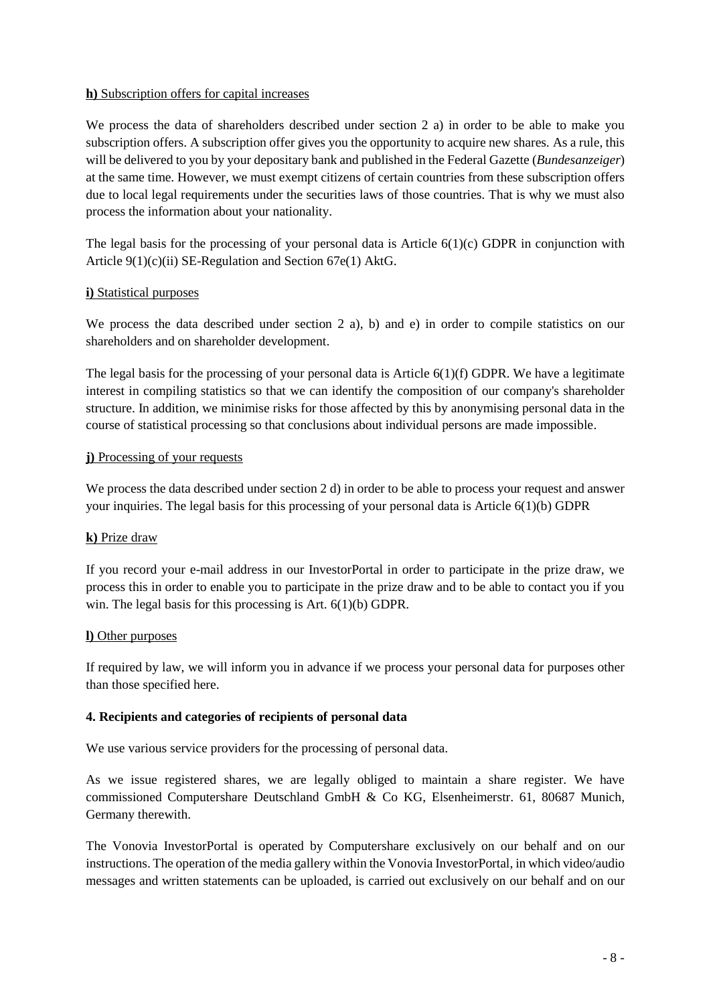### **h)** Subscription offers for capital increases

We process the data of shareholders described under section 2 a) in order to be able to make you subscription offers. A subscription offer gives you the opportunity to acquire new shares. As a rule, this will be delivered to you by your depositary bank and published in the Federal Gazette (*Bundesanzeiger*) at the same time. However, we must exempt citizens of certain countries from these subscription offers due to local legal requirements under the securities laws of those countries. That is why we must also process the information about your nationality.

The legal basis for the processing of your personal data is Article  $6(1)(c)$  GDPR in conjunction with Article 9(1)(c)(ii) SE-Regulation and Section 67e(1) AktG.

#### **i)** Statistical purposes

We process the data described under section 2 a), b) and e) in order to compile statistics on our shareholders and on shareholder development.

The legal basis for the processing of your personal data is Article 6(1)(f) GDPR. We have a legitimate interest in compiling statistics so that we can identify the composition of our company's shareholder structure. In addition, we minimise risks for those affected by this by anonymising personal data in the course of statistical processing so that conclusions about individual persons are made impossible.

#### **j)** Processing of your requests

We process the data described under section 2 d) in order to be able to process your request and answer your inquiries. The legal basis for this processing of your personal data is Article 6(1)(b) GDPR

# **k)** Prize draw

If you record your e-mail address in our InvestorPortal in order to participate in the prize draw, we process this in order to enable you to participate in the prize draw and to be able to contact you if you win. The legal basis for this processing is Art. 6(1)(b) GDPR.

#### **l)** Other purposes

If required by law, we will inform you in advance if we process your personal data for purposes other than those specified here.

# **4. Recipients and categories of recipients of personal data**

We use various service providers for the processing of personal data.

As we issue registered shares, we are legally obliged to maintain a share register. We have commissioned Computershare Deutschland GmbH & Co KG, Elsenheimerstr. 61, 80687 Munich, Germany therewith.

The Vonovia InvestorPortal is operated by Computershare exclusively on our behalf and on our instructions. The operation of the media gallery within the Vonovia InvestorPortal, in which video/audio messages and written statements can be uploaded, is carried out exclusively on our behalf and on our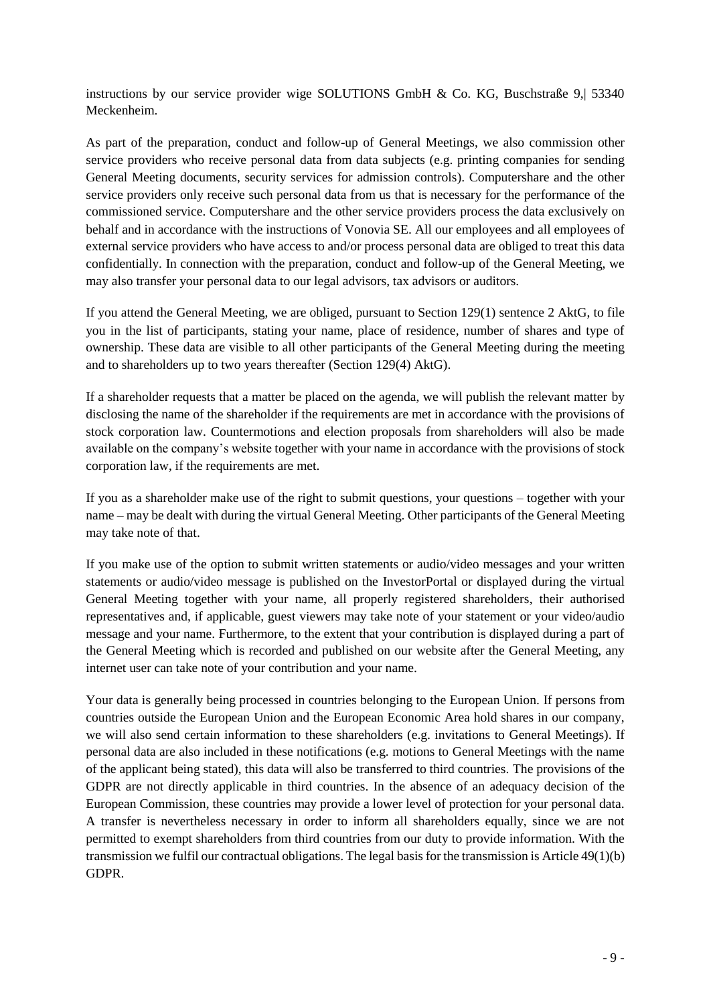instructions by our service provider wige SOLUTIONS GmbH  $\&$  Co. KG, Buschstraße 9, 53340 Meckenheim.

As part of the preparation, conduct and follow-up of General Meetings, we also commission other service providers who receive personal data from data subjects (e.g. printing companies for sending General Meeting documents, security services for admission controls). Computershare and the other service providers only receive such personal data from us that is necessary for the performance of the commissioned service. Computershare and the other service providers process the data exclusively on behalf and in accordance with the instructions of Vonovia SE. All our employees and all employees of external service providers who have access to and/or process personal data are obliged to treat this data confidentially. In connection with the preparation, conduct and follow-up of the General Meeting, we may also transfer your personal data to our legal advisors, tax advisors or auditors.

If you attend the General Meeting, we are obliged, pursuant to Section 129(1) sentence 2 AktG, to file you in the list of participants, stating your name, place of residence, number of shares and type of ownership. These data are visible to all other participants of the General Meeting during the meeting and to shareholders up to two years thereafter (Section 129(4) AktG).

If a shareholder requests that a matter be placed on the agenda, we will publish the relevant matter by disclosing the name of the shareholder if the requirements are met in accordance with the provisions of stock corporation law. Countermotions and election proposals from shareholders will also be made available on the company's website together with your name in accordance with the provisions of stock corporation law, if the requirements are met.

If you as a shareholder make use of the right to submit questions, your questions – together with your name – may be dealt with during the virtual General Meeting. Other participants of the General Meeting may take note of that.

If you make use of the option to submit written statements or audio/video messages and your written statements or audio/video message is published on the InvestorPortal or displayed during the virtual General Meeting together with your name, all properly registered shareholders, their authorised representatives and, if applicable, guest viewers may take note of your statement or your video/audio message and your name. Furthermore, to the extent that your contribution is displayed during a part of the General Meeting which is recorded and published on our website after the General Meeting, any internet user can take note of your contribution and your name.

Your data is generally being processed in countries belonging to the European Union. If persons from countries outside the European Union and the European Economic Area hold shares in our company, we will also send certain information to these shareholders (e.g. invitations to General Meetings). If personal data are also included in these notifications (e.g. motions to General Meetings with the name of the applicant being stated), this data will also be transferred to third countries. The provisions of the GDPR are not directly applicable in third countries. In the absence of an adequacy decision of the European Commission, these countries may provide a lower level of protection for your personal data. A transfer is nevertheless necessary in order to inform all shareholders equally, since we are not permitted to exempt shareholders from third countries from our duty to provide information. With the transmission we fulfil our contractual obligations. The legal basis for the transmission is Article 49(1)(b) GDPR.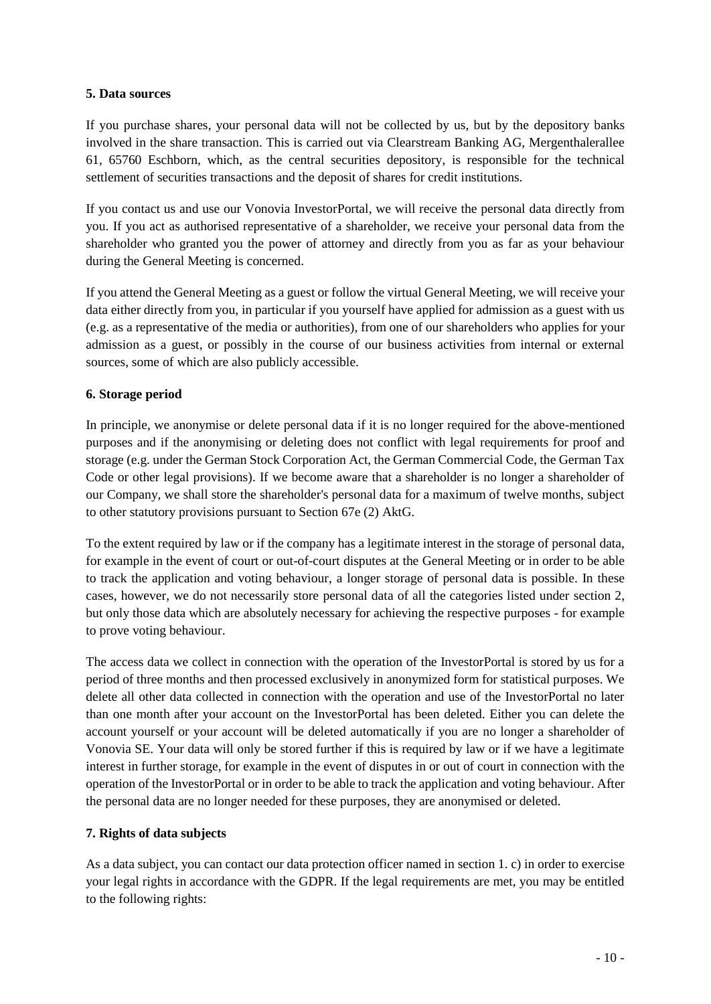#### **5. Data sources**

If you purchase shares, your personal data will not be collected by us, but by the depository banks involved in the share transaction. This is carried out via Clearstream Banking AG, Mergenthalerallee 61, 65760 Eschborn, which, as the central securities depository, is responsible for the technical settlement of securities transactions and the deposit of shares for credit institutions.

If you contact us and use our Vonovia InvestorPortal, we will receive the personal data directly from you. If you act as authorised representative of a shareholder, we receive your personal data from the shareholder who granted you the power of attorney and directly from you as far as your behaviour during the General Meeting is concerned.

If you attend the General Meeting as a guest or follow the virtual General Meeting, we will receive your data either directly from you, in particular if you yourself have applied for admission as a guest with us (e.g. as a representative of the media or authorities), from one of our shareholders who applies for your admission as a guest, or possibly in the course of our business activities from internal or external sources, some of which are also publicly accessible.

# **6. Storage period**

In principle, we anonymise or delete personal data if it is no longer required for the above-mentioned purposes and if the anonymising or deleting does not conflict with legal requirements for proof and storage (e.g. under the German Stock Corporation Act, the German Commercial Code, the German Tax Code or other legal provisions). If we become aware that a shareholder is no longer a shareholder of our Company, we shall store the shareholder's personal data for a maximum of twelve months, subject to other statutory provisions pursuant to Section 67e (2) AktG.

To the extent required by law or if the company has a legitimate interest in the storage of personal data, for example in the event of court or out-of-court disputes at the General Meeting or in order to be able to track the application and voting behaviour, a longer storage of personal data is possible. In these cases, however, we do not necessarily store personal data of all the categories listed under section 2, but only those data which are absolutely necessary for achieving the respective purposes - for example to prove voting behaviour.

The access data we collect in connection with the operation of the InvestorPortal is stored by us for a period of three months and then processed exclusively in anonymized form for statistical purposes. We delete all other data collected in connection with the operation and use of the InvestorPortal no later than one month after your account on the InvestorPortal has been deleted. Either you can delete the account yourself or your account will be deleted automatically if you are no longer a shareholder of Vonovia SE. Your data will only be stored further if this is required by law or if we have a legitimate interest in further storage, for example in the event of disputes in or out of court in connection with the operation of the InvestorPortal or in order to be able to track the application and voting behaviour. After the personal data are no longer needed for these purposes, they are anonymised or deleted.

# **7. Rights of data subjects**

As a data subject, you can contact our data protection officer named in section 1. c) in order to exercise your legal rights in accordance with the GDPR. If the legal requirements are met, you may be entitled to the following rights: